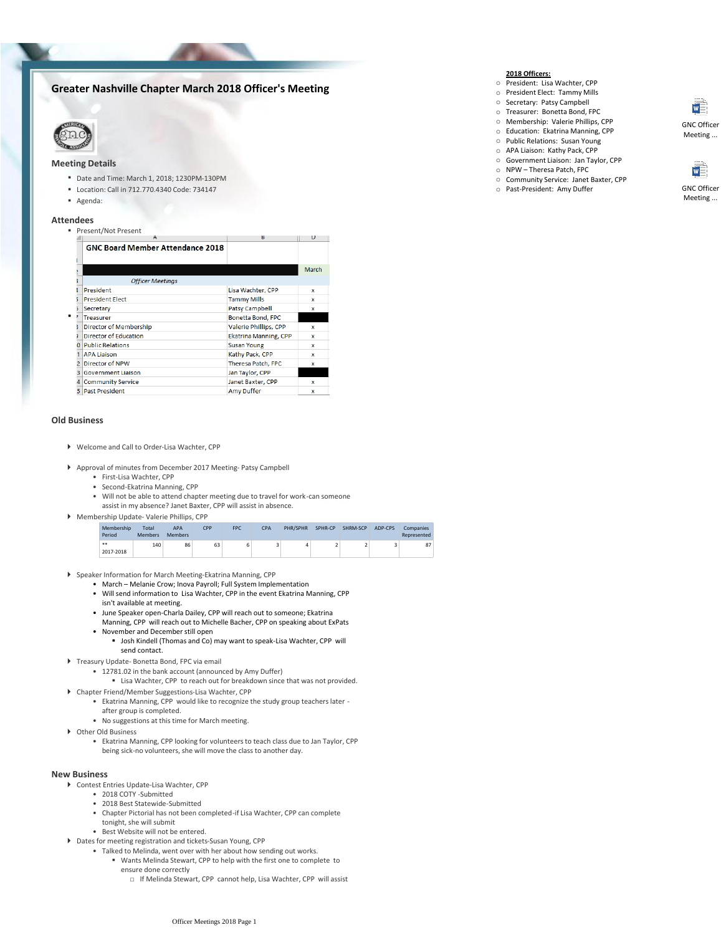# **Greater Nashville Chapter March 2018 Officer's Meeting**



## **Meeting Details**

- Date and Time: March 1, 2018; 1230PM-130PM
- Location: Call in 712.770.4340 Code: 734147
- Agenda:

#### **Attendees**

.

### **Present/Not Present**

|    | A                                       | к                            | υ     |  |  |  |  |  |
|----|-----------------------------------------|------------------------------|-------|--|--|--|--|--|
|    | <b>GNC Board Member Attendance 2018</b> |                              |       |  |  |  |  |  |
|    |                                         |                              | March |  |  |  |  |  |
|    | <b>Officer Meetings</b>                 |                              |       |  |  |  |  |  |
|    | President                               | Lisa Wachter, CPP            | x     |  |  |  |  |  |
|    | <b>President Elect</b>                  | <b>Tammy Mills</b>           | x     |  |  |  |  |  |
|    | Secretary                               | Patsy Campbell               | x     |  |  |  |  |  |
|    | <b>Treasurer</b>                        | Bonetta Bond, FPC            |       |  |  |  |  |  |
|    | <b>Director of Membership</b>           | <b>Valerie Phillips, CPP</b> | x     |  |  |  |  |  |
|    | <b>Director of Education</b>            | <b>Ekatrina Manning, CPP</b> | x     |  |  |  |  |  |
|    | <b>Public Relations</b>                 | <b>Susan Young</b>           | x     |  |  |  |  |  |
|    | <b>APA Liaison</b>                      | Kathy Pack, CPP              | x     |  |  |  |  |  |
| 2  | Director of NPW                         | <b>Theresa Patch, FPC</b>    | x     |  |  |  |  |  |
| з  | <b>Government Liaison</b>               | Jan Taylor, CPP              |       |  |  |  |  |  |
| 4  | <b>Community Service</b>                | Janet Baxter, CPP            | x     |  |  |  |  |  |
| 5. | <b>Past President</b>                   | <b>Amy Duffer</b>            | x     |  |  |  |  |  |

#### **Old Business**

- Welcome and Call to Order-Lisa Wachter, CPP
- Approval of minutes from December 2017 Meeting- Patsy Campbell
	- First-Lisa Wachter, CPP
	- Second-Ekatrina Manning, CPP
	- Will not be able to attend chapter meeting due to travel for work-can someone
	- assist in my absence? Janet Baxter, CPP will assist in absence.
- Membership Total APA PHR/SPHR SPHR-CP SHRM-SCP ADP-CPS Com Membership Update- Valerie Phillips, CPP

| _______________<br>Period | .<br><b>Members</b> | .<br><b>Members</b> | --- | . | ---- |  | ___________ | ----- | المتحافظ المتحدث والمتحدث<br>Represented |
|---------------------------|---------------------|---------------------|-----|---|------|--|-------------|-------|------------------------------------------|
| **<br>2017-2018           | 140                 | 86                  | 63  |   |      |  |             |       | o 7<br>۰                                 |
|                           |                     |                     |     |   |      |  |             |       |                                          |

- Speaker Information for March Meeting-Ekatrina Manning, CPP
	- March Melanie Crow; Inova Payroll; Full System Implementation
	- Will send information to Lisa Wachter, CPP in the event Ekatrina Manning, CPP isn't available at meeting.
	- June Speaker open-Charla Dailey, CPP will reach out to someone; Ekatrina
	- Manning, CPP will reach out to Michelle Bacher, CPP on speaking about ExPats • November and December still open
		- **Josh Kindell (Thomas and Co) may want to speak-Lisa Wachter, CPP will** send contact.
- Treasury Update- Bonetta Bond, FPC via email
	- 12781.02 in the bank account (announced by Amy Duffer)
	- Lisa Wachter, CPP to reach out for breakdown since that was not provided.
- Chapter Friend/Member Suggestions-Lisa Wachter, CPP
	- Ekatrina Manning, CPP would like to recognize the study group teachers later after group is completed.
	- No suggestions at this time for March meeting.
- ▶ Other Old Business
	- Ekatrina Manning, CPP looking for volunteers to teach class due to Jan Taylor, CPP being sick-no volunteers, she will move the class to another day.

#### **New Business**

- Contest Entries Update-Lisa Wachter, CPP
	- 2018 COTY -Submitted
	- 2018 Best Statewide-Submitted
	- Chapter Pictorial has not been completed-if Lisa Wachter, CPP can complete tonight, she will submit
	- Best Website will not be entered.
- Dates for meeting registration and tickets-Susan Young, CPP
	- Talked to Melinda, went over with her about how sending out works.
		- Wants Melinda Stewart, CPP to help with the first one to complete to ensure done correctly
			- □ If Melinda Stewart, CPP cannot help, Lisa Wachter, CPP will assist

### **2018 Officers:**

- o President: Lisa Wachter, CPP
- o President Elect: Tammy Mills
- o Secretary: Patsy Campbell
- o Treasurer: Bonetta Bond, FPC o Membership: Valerie Phillips, CPP
- o Education: Ekatrina Manning, CPP
- o Public Relations: Susan Young
- o APA Liaison: Kathy Pack, CPP
- o Government Liaison: Jan Taylor, CPP
- o NPW Theresa Patch, FPC
- o Community Service: Janet Baxter, CPP
- o Past-President: Amy Duffer